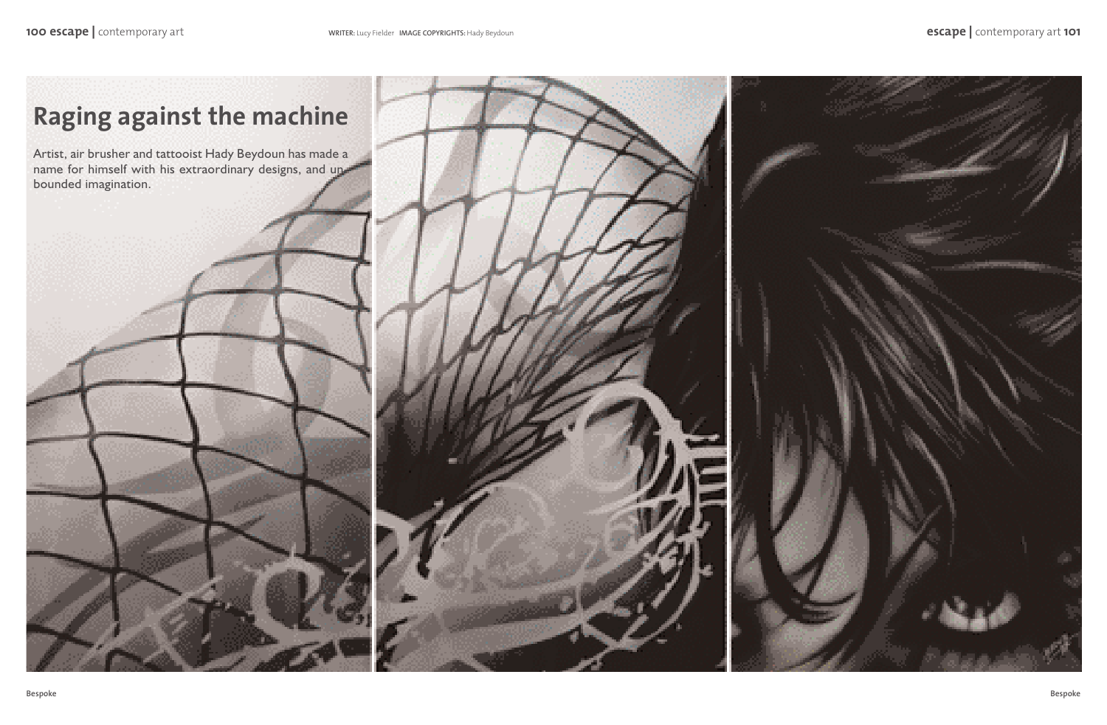## **Raging against the machine**

Artist, air brusher and tattooist Hady Beydoun has made a name for himself with his extraordinary designs, and unbounded imagination.



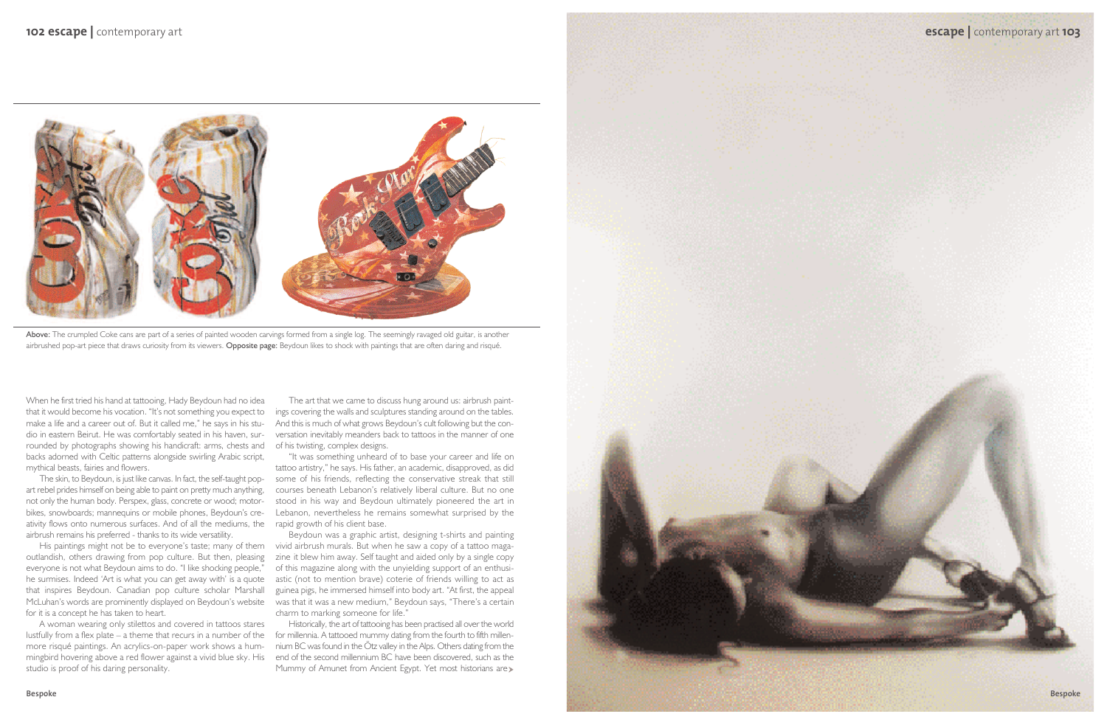

Above: The crumpled Coke cans are part of a series of painted wooden carvings formed from a single log. The seemingly ravaged old guitar, is another airbrushed pop-art piece that draws curiosity from its viewers. Opposite page: Beydoun likes to shock with paintings that are often daring and risqué.



When he first tried his hand at tattooing, Hady Beydoun had no idea that it would become his vocation. "It's not something you expect to make a life and a career out of. But it called me," he says in his studio in eastern Beirut. He was comfortably seated in his haven, surrounded by photographs showing his handicraft: arms, chests and of his twisting, complex designs. backs adorned with Celtic patterns alongside swirling Arabic script, mythical beasts, fairies and flowers.

The skin, to Beydoun, is just like canvas. In fact, the self-taught popart rebel prides himself on being able to paint on pretty much anything, not only the human body. Perspex, glass, concrete or wood; motorbikes, snowboards; mannequins or mobile phones, Beydoun's creativity flows onto numerous surfaces. And of all the mediums, the rapid growth of his client base. airbrush remains his preferred - thanks to its wide versatility.

outlandish, others drawing from pop culture. But then, pleasing everyone is not what Beydoun aims to do. "I like shocking people," he surmises. Indeed 'Art is what you can get away with' is a quote that inspires Beydoun. Canadian pop culture scholar Marshall McLuhan's words are prominently displayed on Beydoun's website was that it was a new medium," Beydoun says, "There's a certain for it is a concept he has taken to heart.

Historically, the art of tattooing has been practised all over the world for millennia. A tattooed mummy dating from the fourth to fifth millennium BC was found in the Ötz valley in the Alps. Others dating from the end of the second millennium BC have been discovered, such as the Mummy of Amunet from Ancient Egypt. Yet most historians are

A woman wearing only stilettos and covered in tattoos stares lustfully from a flex plate – a theme that recurs in a number of the more risqué paintings. An acrylics-on-paper work shows a hummingbird hovering above a red flower against a vivid blue sky. His studio is proof of his daring personality.

The art that we came to discuss hung around us: airbrush paintings covering the walls and sculptures standing around on the tables. And this is much of what grows Beydoun's cult following but the conversation inevitably meanders back to tattoos in the manner of one

His paintings might not be to everyone's taste; many of them vivid airbrush murals. But when he saw a copy of a tattoo maga-Beydoun was a graphic artist, designing t-shirts and painting zine it blew him away. Self taught and aided only by a single copy of this magazine along with the unyielding support of an enthusiastic (not to mention brave) coterie of friends willing to act as guinea pigs, he immersed himself into body art. "At first, the appeal charm to marking someone for life."

"It was something unheard of to base your career and life on tattoo artistry," he says. His father, an academic, disapproved, as did some of his friends, reflecting the conservative streak that still courses beneath Lebanon's relatively liberal culture. But no one stood in his way and Beydoun ultimately pioneered the art in Lebanon, nevertheless he remains somewhat surprised by the